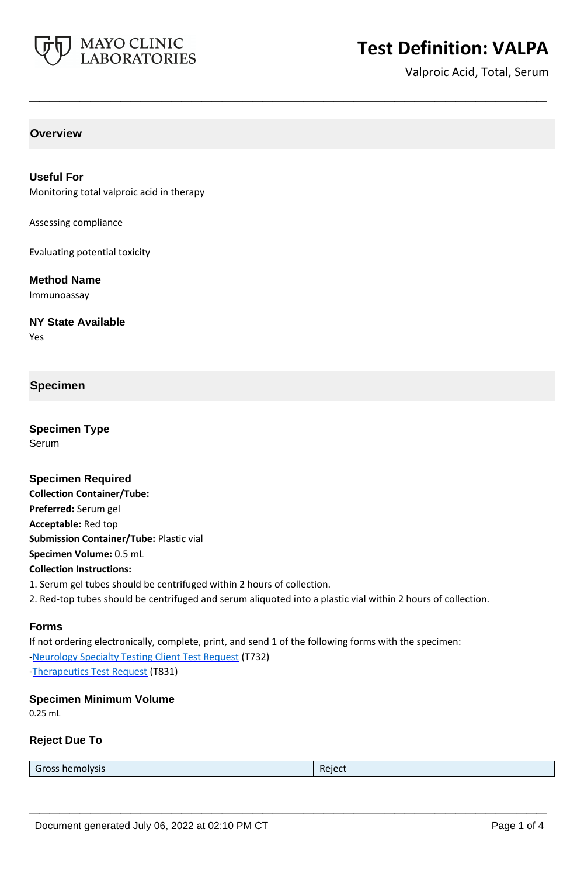

# **Test Definition: VALPA**

Valproic Acid, Total, Serum

# **Overview**

**Useful For** Monitoring total valproic acid in therapy

Assessing compliance

Evaluating potential toxicity

**Method Name**

Immunoassay

**NY State Available** Yes

### **Specimen**

**Specimen Type** Serum

**Specimen Required Collection Container/Tube: Preferred:** Serum gel **Acceptable:** Red top **Submission Container/Tube:** Plastic vial **Specimen Volume:** 0.5 mL **Collection Instructions:** 1. Serum gel tubes should be centrifuged within 2 hours of collection. 2. Red-top tubes should be centrifuged and serum aliquoted into a plastic vial within 2 hours of collection.

**\_\_\_\_\_\_\_\_\_\_\_\_\_\_\_\_\_\_\_\_\_\_\_\_\_\_\_\_\_\_\_\_\_\_\_\_\_\_\_\_\_\_\_\_\_\_\_\_\_\_\_**

#### **Forms**

If not ordering electronically, complete, print, and send 1 of the following forms with the specimen: [-Neurology Specialty Testing Client Test Request](https://www.mayocliniclabs.com/it-mmfiles/neurology-request-form.pdf) (T732) [-Therapeutics Test Request](https://www.mayocliniclabs.com/it-mmfiles/Therapeutics-Requisition-Request-Form_MC0767-19.pdf) (T831)

#### **Specimen Minimum Volume**

0.25 mL

#### **Reject Due To**

| $\sim$          | -      |
|-----------------|--------|
| Gross hemolysis | Reject |
|                 |        |

**\_\_\_\_\_\_\_\_\_\_\_\_\_\_\_\_\_\_\_\_\_\_\_\_\_\_\_\_\_\_\_\_\_\_\_\_\_\_\_\_\_\_\_\_\_\_\_\_\_\_\_**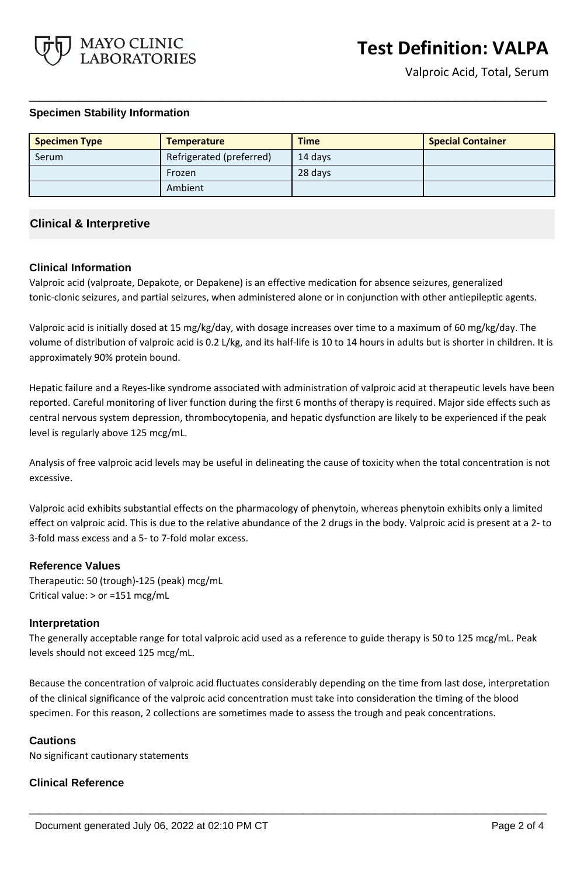

### **Specimen Stability Information**

| <b>Specimen Type</b> | <b>Temperature</b>       | <b>Time</b> | <b>Special Container</b> |
|----------------------|--------------------------|-------------|--------------------------|
| Serum                | Refrigerated (preferred) | 14 days     |                          |
|                      | Frozen                   | 28 days     |                          |
|                      | Ambient                  |             |                          |

**\_\_\_\_\_\_\_\_\_\_\_\_\_\_\_\_\_\_\_\_\_\_\_\_\_\_\_\_\_\_\_\_\_\_\_\_\_\_\_\_\_\_\_\_\_\_\_\_\_\_\_**

## **Clinical & Interpretive**

### **Clinical Information**

Valproic acid (valproate, Depakote, or Depakene) is an effective medication for absence seizures, generalized tonic-clonic seizures, and partial seizures, when administered alone or in conjunction with other antiepileptic agents.

Valproic acid is initially dosed at 15 mg/kg/day, with dosage increases over time to a maximum of 60 mg/kg/day. The volume of distribution of valproic acid is 0.2 L/kg, and its half-life is 10 to 14 hours in adults but is shorter in children. It is approximately 90% protein bound.

Hepatic failure and a Reyes-like syndrome associated with administration of valproic acid at therapeutic levels have been reported. Careful monitoring of liver function during the first 6 months of therapy is required. Major side effects such as central nervous system depression, thrombocytopenia, and hepatic dysfunction are likely to be experienced if the peak level is regularly above 125 mcg/mL.

Analysis of free valproic acid levels may be useful in delineating the cause of toxicity when the total concentration is not excessive.

Valproic acid exhibits substantial effects on the pharmacology of phenytoin, whereas phenytoin exhibits only a limited effect on valproic acid. This is due to the relative abundance of the 2 drugs in the body. Valproic acid is present at a 2- to 3-fold mass excess and a 5- to 7-fold molar excess.

### **Reference Values**

Therapeutic: 50 (trough)-125 (peak) mcg/mL Critical value: > or =151 mcg/mL

### **Interpretation**

The generally acceptable range for total valproic acid used as a reference to guide therapy is 50 to 125 mcg/mL. Peak levels should not exceed 125 mcg/mL.

Because the concentration of valproic acid fluctuates considerably depending on the time from last dose, interpretation of the clinical significance of the valproic acid concentration must take into consideration the timing of the blood specimen. For this reason, 2 collections are sometimes made to assess the trough and peak concentrations.

**\_\_\_\_\_\_\_\_\_\_\_\_\_\_\_\_\_\_\_\_\_\_\_\_\_\_\_\_\_\_\_\_\_\_\_\_\_\_\_\_\_\_\_\_\_\_\_\_\_\_\_**

### **Cautions**

No significant cautionary statements

### **Clinical Reference**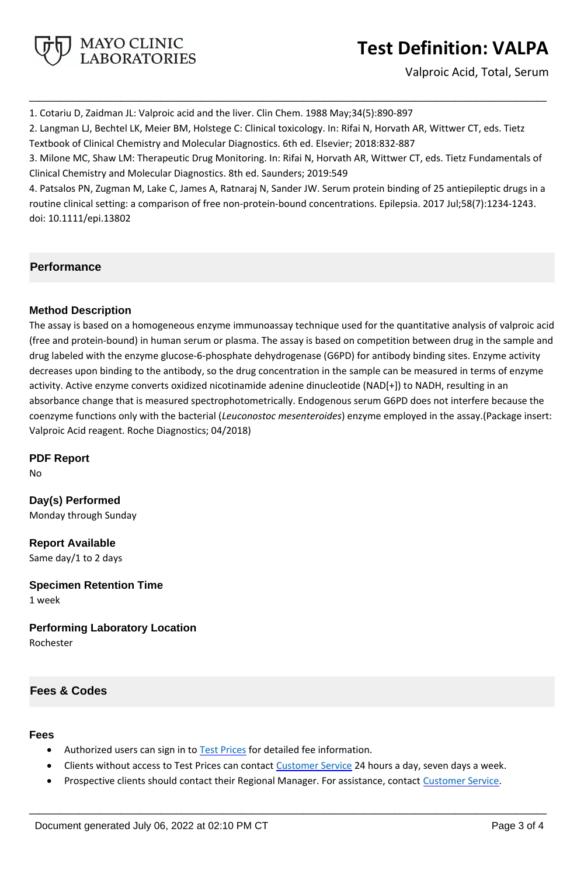

# **Test Definition: VALPA**

Valproic Acid, Total, Serum

1. Cotariu D, Zaidman JL: Valproic acid and the liver. Clin Chem. 1988 May;34(5):890-897

2. Langman LJ, Bechtel LK, Meier BM, Holstege C: Clinical toxicology. In: Rifai N, Horvath AR, Wittwer CT, eds. Tietz Textbook of Clinical Chemistry and Molecular Diagnostics. 6th ed. Elsevier; 2018:832-887

3. Milone MC, Shaw LM: Therapeutic Drug Monitoring. In: Rifai N, Horvath AR, Wittwer CT, eds. Tietz Fundamentals of Clinical Chemistry and Molecular Diagnostics. 8th ed. Saunders; 2019:549

**\_\_\_\_\_\_\_\_\_\_\_\_\_\_\_\_\_\_\_\_\_\_\_\_\_\_\_\_\_\_\_\_\_\_\_\_\_\_\_\_\_\_\_\_\_\_\_\_\_\_\_**

4. Patsalos PN, Zugman M, Lake C, James A, Ratnaraj N, Sander JW. Serum protein binding of 25 antiepileptic drugs in a routine clinical setting: a comparison of free non-protein-bound concentrations. Epilepsia. 2017 Jul;58(7):1234-1243. doi: 10.1111/epi.13802

## **Performance**

## **Method Description**

The assay is based on a homogeneous enzyme immunoassay technique used for the quantitative analysis of valproic acid (free and protein-bound) in human serum or plasma. The assay is based on competition between drug in the sample and drug labeled with the enzyme glucose-6-phosphate dehydrogenase (G6PD) for antibody binding sites. Enzyme activity decreases upon binding to the antibody, so the drug concentration in the sample can be measured in terms of enzyme activity. Active enzyme converts oxidized nicotinamide adenine dinucleotide (NAD[+]) to NADH, resulting in an absorbance change that is measured spectrophotometrically. Endogenous serum G6PD does not interfere because the coenzyme functions only with the bacterial (*Leuconostoc mesenteroides*) enzyme employed in the assay.(Package insert: Valproic Acid reagent. Roche Diagnostics; 04/2018)

**PDF Report**

No

**Day(s) Performed** Monday through Sunday

**Report Available** Same day/1 to 2 days

**Specimen Retention Time**

1 week

**Performing Laboratory Location** Rochester

## **Fees & Codes**

### **Fees**

- Authorized users can sign in to [Test Prices](https://www.mayocliniclabs.com/customer-service/client-price-lookup/index.html?unit_code=VALPA) for detailed fee information.
- Clients without access to Test Prices can contact [Customer Service](http://www.mayocliniclabs.com/customer-service/contacts.html) 24 hours a day, seven days a week.
- Prospective clients should contact their Regional Manager. For assistance, contact [Customer Service.](http://www.mayocliniclabs.com/customer-service/contacts.html)

**\_\_\_\_\_\_\_\_\_\_\_\_\_\_\_\_\_\_\_\_\_\_\_\_\_\_\_\_\_\_\_\_\_\_\_\_\_\_\_\_\_\_\_\_\_\_\_\_\_\_\_**